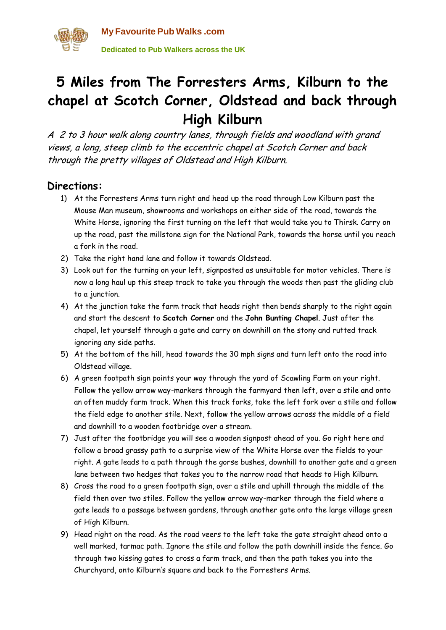

## **5 Miles from The Forresters Arms, Kilburn to the chapel at Scotch Corner, Oldstead and back through High Kilburn**

A 2 to 3 hour walk along country lanes, through fields and woodland with grand views, a long, steep climb to the eccentric chapel at Scotch Corner and back through the pretty villages of Oldstead and High Kilburn.

## **Directions:**

- 1) At the Forresters Arms turn right and head up the road through Low Kilburn past the Mouse Man museum, showrooms and workshops on either side of the road, towards the White Horse, ignoring the first turning on the left that would take you to Thirsk. Carry on up the road, past the millstone sign for the National Park, towards the horse until you reach a fork in the road.
- 2) Take the right hand lane and follow it towards Oldstead.
- 3) Look out for the turning on your left, signposted as unsuitable for motor vehicles. There is now a long haul up this steep track to take you through the woods then past the gliding club to a junction.
- 4) At the junction take the farm track that heads right then bends sharply to the right again and start the descent to **Scotch Corner** and the **John Bunting Chapel**. Just after the chapel, let yourself through a gate and carry on downhill on the stony and rutted track ignoring any side paths.
- 5) At the bottom of the hill, head towards the 30 mph signs and turn left onto the road into Oldstead village.
- 6) A green footpath sign points your way through the yard of Scawling Farm on your right. Follow the yellow arrow way-markers through the farmyard then left, over a stile and onto an often muddy farm track. When this track forks, take the left fork over a stile and follow the field edge to another stile. Next, follow the yellow arrows across the middle of a field and downhill to a wooden footbridge over a stream.
- 7) Just after the footbridge you will see a wooden signpost ahead of you. Go right here and follow a broad grassy path to a surprise view of the White Horse over the fields to your right. A gate leads to a path through the gorse bushes, downhill to another gate and a green lane between two hedges that takes you to the narrow road that heads to High Kilburn.
- 8) Cross the road to a green footpath sign, over a stile and uphill through the middle of the field then over two stiles. Follow the yellow arrow way-marker through the field where a gate leads to a passage between gardens, through another gate onto the large village green of High Kilburn.
- 9) Head right on the road. As the road veers to the left take the gate straight ahead onto a well marked, tarmac path. Ignore the stile and follow the path downhill inside the fence. Go through two kissing gates to cross a farm track, and then the path takes you into the Churchyard, onto Kilburn's square and back to the Forresters Arms.